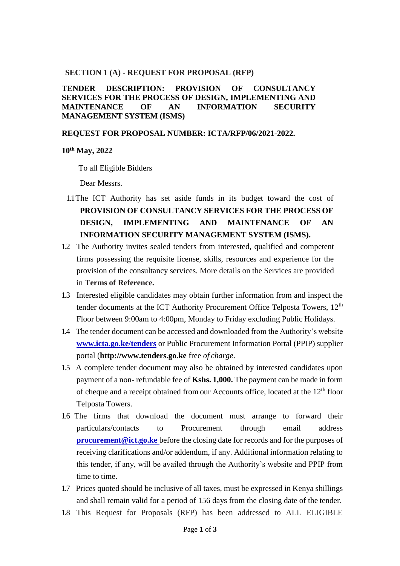## **SECTION 1 (A) - REQUEST FOR PROPOSAL (RFP)**

## **TENDER DESCRIPTION: PROVISION OF CONSULTANCY SERVICES FOR THE PROCESS OF DESIGN, IMPLEMENTING AND MAINTENANCE OF AN INFORMATION SECURITY MANAGEMENT SYSTEM (ISMS)**

#### **REQUEST FOR PROPOSAL NUMBER: ICTA/RFP/06/2021-2022.**

## **10th May, 2022**

To all Eligible Bidders

Dear Messrs.

- 1.1The ICT Authority has set aside funds in its budget toward the cost of **PROVISION OF CONSULTANCY SERVICES FOR THE PROCESS OF DESIGN, IMPLEMENTING AND MAINTENANCE OF AN INFORMATION SECURITY MANAGEMENT SYSTEM (ISMS).**
- 1.2 The Authority invites sealed tenders from interested, qualified and competent firms possessing the requisite license, skills, resources and experience for the provision of the consultancy services. More details on the Services are provided in **Terms of Reference.**
- 1.3 Interested eligible candidates may obtain further information from and inspect the tender documents at the ICT Authority Procurement Office Telposta Towers, 12<sup>th</sup> Floor between 9:00am to 4:00pm, Monday to Friday excluding Public Holidays.
- 1.4 The tender document can be accessed and downloaded from the Authority's website **[www.icta.go.ke/tenders](http://www.icta.go.ke/tenders)** or Public Procurement Information Portal (PPIP) supplier portal (**[http://www.tenders.go.ke](http://www.tenders.go.ke/)** free *of charge*.
- 1.5 A complete tender document may also be obtained by interested candidates upon payment of a non- refundable fee of **Kshs. 1,000.** The payment can be made in form of cheque and a receipt obtained from our Accounts office, located at the  $12<sup>th</sup>$  floor Telposta Towers.
- 1.6 The firms that download the document must arrange to forward their particulars/contacts to Procurement through email address **[procurement@ict.go.ke](mailto:procurement@ict.go.ke)** before the closing date for records and for the purposes of receiving clarifications and/or addendum, if any. Additional information relating to this tender, if any, will be availed through the Authority's website and PPIP from time to time.
- 1.7 Prices quoted should be inclusive of all taxes, must be expressed in Kenya shillings and shall remain valid for a period of 156 days from the closing date of the tender.
- 1.8 This Request for Proposals (RFP) has been addressed to ALL ELIGIBLE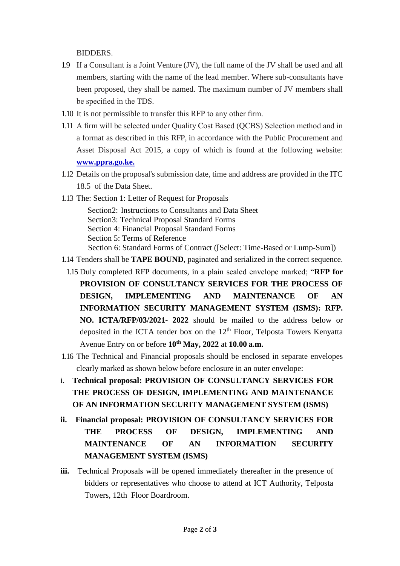BIDDERS.

- 1.9 If a Consultant is a Joint Venture (JV), the full name of the JV shall be used and all members, starting with the name of the lead member. Where sub-consultants have been proposed, they shall be named. The maximum number of JV members shall be specified in the TDS.
- 1.10 It is not permissible to transfer this RFP to any other firm.
- 1.11 A firm will be selected under Quality Cost Based (QCBS) Selection method and in a format as described in this RFP, in accordance with the Public Procurement and Asset Disposal Act 2015, a copy of which is found at the following website: **[www.ppra.go.ke.](http://www.ppra.go.ke/)**
- 1.12 Details on the proposal's submission date, time and address are provided in the ITC 18.5 of the Data Sheet.
- 1.13 The: Section 1: Letter of Request for Proposals

Section2: Instructions to Consultants and Data Sheet Section3: Technical Proposal Standard Forms Section 4: Financial Proposal Standard Forms Section 5: Terms of Reference Section 6: Standard Forms of Contract ([Select: Time-Based or Lump-Sum])

- 1.14 Tenders shall be **TAPE BOUND**, paginated and serialized in the correct sequence.
	- 1.15 Duly completed RFP documents, in a plain sealed envelope marked; "**RFP for PROVISION OF CONSULTANCY SERVICES FOR THE PROCESS OF DESIGN, IMPLEMENTING AND MAINTENANCE OF AN INFORMATION SECURITY MANAGEMENT SYSTEM (ISMS): RFP. NO. ICTA/RFP/03/2021- 2022** should be mailed to the address below or deposited in the ICTA tender box on the  $12<sup>th</sup>$  Floor, Telposta Towers Kenyatta Avenue Entry on or before **10th May, 2022** at **10.00 a.m.**
- 1.16 The Technical and Financial proposals should be enclosed in separate envelopes clearly marked as shown below before enclosure in an outer envelope:
- i. **Technical proposal: PROVISION OF CONSULTANCY SERVICES FOR THE PROCESS OF DESIGN, IMPLEMENTING AND MAINTENANCE OF AN INFORMATION SECURITY MANAGEMENT SYSTEM (ISMS)**
- **ii. Financial proposal: PROVISION OF CONSULTANCY SERVICES FOR THE PROCESS OF DESIGN, IMPLEMENTING AND MAINTENANCE OF AN INFORMATION SECURITY MANAGEMENT SYSTEM (ISMS)**
- **iii.** Technical Proposals will be opened immediately thereafter in the presence of bidders or representatives who choose to attend at ICT Authority, Telposta Towers, 12th Floor Boardroom.